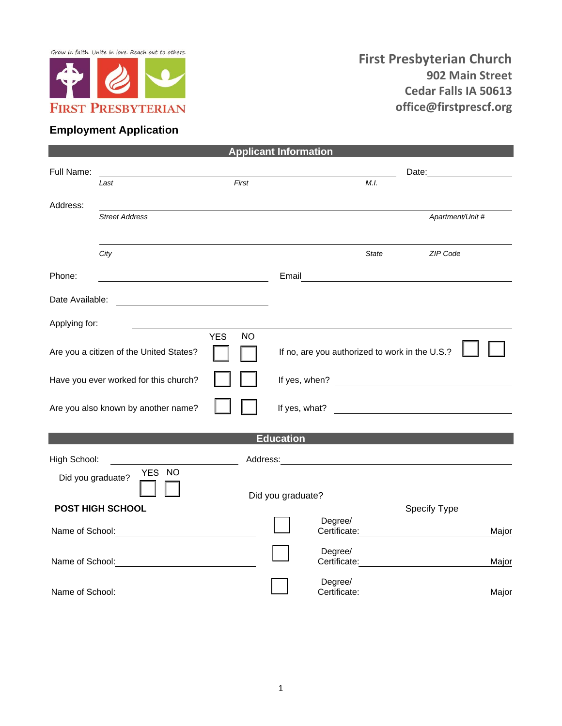Grow in faith. Unite in love. Reach out to others.



## **Employment Application**

|                                                                    |                                                                                                                      |       | <b>Applicant Information</b>                   |                                                |  |                  |       |
|--------------------------------------------------------------------|----------------------------------------------------------------------------------------------------------------------|-------|------------------------------------------------|------------------------------------------------|--|------------------|-------|
| Full Name:                                                         |                                                                                                                      |       |                                                |                                                |  |                  |       |
|                                                                    | Last                                                                                                                 | First |                                                | M.I.                                           |  |                  |       |
| Address:                                                           |                                                                                                                      |       |                                                |                                                |  |                  |       |
|                                                                    | <b>Street Address</b>                                                                                                |       |                                                |                                                |  | Apartment/Unit # |       |
|                                                                    |                                                                                                                      |       |                                                |                                                |  |                  |       |
|                                                                    | City                                                                                                                 |       |                                                | <b>State</b>                                   |  | ZIP Code         |       |
|                                                                    |                                                                                                                      |       |                                                |                                                |  |                  |       |
| Phone:                                                             | <u> 1989 - Johann Barbara, martin amerikan basal dan basal dan basal dan basal dan basal dan basal dan basal dan</u> |       |                                                |                                                |  |                  |       |
|                                                                    |                                                                                                                      |       |                                                |                                                |  |                  |       |
|                                                                    |                                                                                                                      |       |                                                |                                                |  |                  |       |
| Applying for:                                                      |                                                                                                                      |       |                                                |                                                |  |                  |       |
| <b>YES</b><br><b>NO</b><br>Are you a citizen of the United States? |                                                                                                                      |       |                                                |                                                |  |                  |       |
|                                                                    |                                                                                                                      |       | If no, are you authorized to work in the U.S.? |                                                |  |                  |       |
| Have you ever worked for this church?                              |                                                                                                                      |       |                                                |                                                |  |                  |       |
|                                                                    | Are you also known by another name?                                                                                  |       |                                                |                                                |  |                  |       |
|                                                                    |                                                                                                                      |       |                                                |                                                |  |                  |       |
|                                                                    |                                                                                                                      |       | <b>Education</b>                               |                                                |  |                  |       |
|                                                                    |                                                                                                                      |       |                                                |                                                |  |                  |       |
| High School:                                                       | YES NO                                                                                                               |       |                                                |                                                |  |                  |       |
| Did you graduate?                                                  |                                                                                                                      |       |                                                |                                                |  |                  |       |
|                                                                    |                                                                                                                      |       | Did you graduate?                              |                                                |  |                  |       |
|                                                                    | <b>POST HIGH SCHOOL</b>                                                                                              |       |                                                | Degree/                                        |  | Specify Type     |       |
|                                                                    | Name of School: Name of School:                                                                                      |       |                                                |                                                |  |                  | Major |
|                                                                    |                                                                                                                      |       |                                                | Degree/                                        |  |                  |       |
|                                                                    |                                                                                                                      |       |                                                | Certificate: <u>__________________________</u> |  |                  | Major |
|                                                                    |                                                                                                                      |       |                                                | Degree/                                        |  |                  |       |
| Name of School:                                                    |                                                                                                                      |       |                                                | Certificate:                                   |  |                  | Major |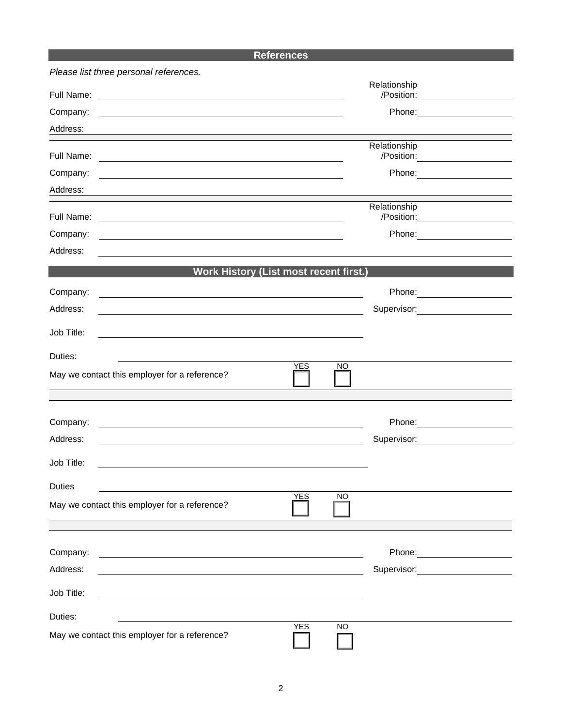## **References**

| Please list three personal references.                                                                                            |            |           |                                                   |  |
|-----------------------------------------------------------------------------------------------------------------------------------|------------|-----------|---------------------------------------------------|--|
| Full Name:                                                                                                                        |            |           | Relationship<br>/Position: ______________________ |  |
| Company:                                                                                                                          |            |           | Phone: <u>_______________</u>                     |  |
| Address:                                                                                                                          |            |           |                                                   |  |
| Full Name:<br><u> 1989 - Johann Barnett, fransk politiker (d. 1989)</u>                                                           |            |           | Relationship                                      |  |
| Company:<br><u> 1989 - Johann Stein, mars an deutscher Stein und der Stein und der Stein und der Stein und der Stein und der</u>  |            |           | Phone: ____________________                       |  |
| Address:                                                                                                                          |            |           |                                                   |  |
| Full Name:                                                                                                                        |            |           | Relationship<br>/Position: _____________________  |  |
| Company:                                                                                                                          |            |           | Phone: ____________________                       |  |
| Address:                                                                                                                          |            |           |                                                   |  |
| <b>Work History (List most recent first.)</b>                                                                                     |            |           |                                                   |  |
| Company:<br><u> 1989 - Johann Stoff, Amerikaansk politiker († 1908)</u>                                                           |            |           | Phone: _________________________                  |  |
| Address:                                                                                                                          |            |           | Supervisor: 2000                                  |  |
| Job Title:                                                                                                                        |            |           |                                                   |  |
|                                                                                                                                   |            |           |                                                   |  |
| Duties:                                                                                                                           | <b>YES</b> | NO        |                                                   |  |
| May we contact this employer for a reference?                                                                                     |            |           |                                                   |  |
|                                                                                                                                   |            |           |                                                   |  |
| Company:<br><u> 1989 - Johann Stein, marwolaethau a bhann an t-Amhain ann an t-Amhain an t-Amhain an t-Amhain an t-Amhain an </u> |            |           |                                                   |  |
| Address:                                                                                                                          |            |           | Supervisor: 2000                                  |  |
| Job Title:                                                                                                                        |            |           |                                                   |  |
| <b>Duties</b>                                                                                                                     |            |           |                                                   |  |
| May we contact this employer for a reference?                                                                                     | <b>YES</b> | <b>NO</b> |                                                   |  |
|                                                                                                                                   |            |           |                                                   |  |
|                                                                                                                                   |            |           |                                                   |  |
| Company:                                                                                                                          |            |           |                                                   |  |
| Address:                                                                                                                          |            |           | Supervisor: 2000                                  |  |
| Job Title:                                                                                                                        |            |           |                                                   |  |
| Duties:                                                                                                                           |            |           |                                                   |  |
| May we contact this employer for a reference?                                                                                     | <b>YES</b> | <b>NO</b> |                                                   |  |